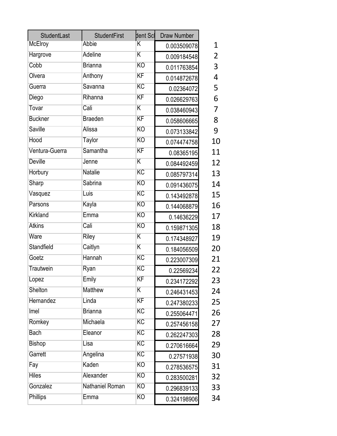| <b>StudentLast</b> | <b>StudentFirst</b> | dent Scl                | <b>Draw Number</b> |              |
|--------------------|---------------------|-------------------------|--------------------|--------------|
| McElroy            | <b>Abbie</b>        | K                       | 0.003509078        | $\mathbf{1}$ |
| Hargrove           | Adeline             | $\overline{\mathsf{K}}$ | 0.009184548        | 2            |
| Cobb               | <b>Brianna</b>      | KO                      | 0.011763854        | 3            |
| Olvera             | Anthony             | $\overline{\text{KF}}$  | 0.014872678        | 4            |
| Guerra             | Savanna             | KC                      | 0.02364072         | 5            |
| Diego              | Rihanna             | KF                      | 0.026629763        | 6            |
| Tovar              | Cali                | $\overline{\mathsf{K}}$ | 0.038460943        | 7            |
| <b>Buckner</b>     | <b>Braeden</b>      | $\overline{\text{KF}}$  | 0.058606665        | 8            |
| Saville            | Alissa              | KO                      | 0.073133842        | 9            |
| Hood               | <b>Taylor</b>       | <b>KO</b>               | 0.074474758        | 10           |
| Ventura-Guerra     | Samantha            | KF                      | 0.08365195         | 11           |
| <b>Deville</b>     | Jenne               | $\overline{\mathsf{K}}$ | 0.084492459        | 12           |
| Horbury            | <b>Natalie</b>      | KC                      | 0.085797314        | 13           |
| Sharp              | Sabrina             | KO                      | 0.091436075        | 14           |
| Vasquez            | Luis                | $\overline{\text{KC}}$  | 0.143492878        | 15           |
| Parsons            | Kayla               | KO                      | 0.144068879        | 16           |
| Kirkland           | Emma                | KO                      | 0.14636229         | 17           |
| <b>Atkins</b>      | Cali                | <b>KO</b>               | 0.159871305        | 18           |
| Ware               | <b>Riley</b>        | $\overline{\mathsf{K}}$ | 0.174348927        | 19           |
| Standfield         | Caitlyn             | $\overline{\mathsf{K}}$ | 0.184056509        | 20           |
| Goetz              | Hannah              | $\overline{\text{KC}}$  | 0.223007309        | 21           |
| Trautwein          | Ryan                | KC                      | 0.22569234         | 22           |
| Lopez              | Emily               | ΚF                      | 0.234172292        | 23           |
| Shelton            | <b>Matthew</b>      | $\overline{\mathsf{K}}$ | 0.246431453        | 24           |
| Hernandez          | Linda               | $\overline{\text{KF}}$  | 0.247380233        | 25           |
| Imel               | <b>Brianna</b>      | KC                      | 0.255064471        | 26           |
| Romkey             | Michaela            | $\overline{\text{KC}}$  | 0.257456158        | 27           |
| <b>Bach</b>        | Eleanor             | $\overline{\text{KC}}$  | 0.262247303        | 28           |
| <b>Bishop</b>      | Lisa                | $\overline{\text{KC}}$  | 0.270616664        | 29           |
| Garrett            | Angelina            | $\overline{\text{KC}}$  | 0.27571938         | 30           |
| Fay                | Kaden               | KO                      | 0.278536575        | 31           |
| <b>Hiles</b>       | Alexander           | KO                      | 0.283500281        | 32           |
| Gonzalez           | Nathaniel Roman     | KO                      | 0.296839133        | 33           |
| <b>Phillips</b>    | Emma                | $\overline{KO}$         | 0.324198906        | 34           |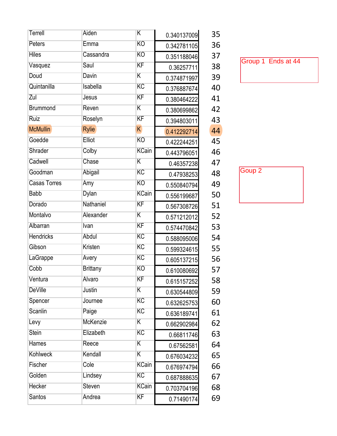| Terrell             | Aiden           | $\overline{\mathsf{K}}$ | 0.340137009 | 35 |
|---------------------|-----------------|-------------------------|-------------|----|
| <b>Peters</b>       | Emma            | KO                      | 0.342781105 | 36 |
| <b>Hiles</b>        | Cassandra       | KO                      | 0.351188046 | 37 |
| Vasquez             | Saul            | $\overline{\text{KF}}$  | 0.36257711  | 38 |
| Doud                | <b>Davin</b>    | $\overline{\mathsf{K}}$ | 0.374871997 | 39 |
| Quintanilla         | Isabella        | KC                      | 0.376887674 | 40 |
| Zul                 | Jesus           | KF                      | 0.380464222 | 41 |
| <b>Brummond</b>     | Reven           | $\overline{\mathsf{K}}$ | 0.380699862 | 42 |
| Ruiz                | Roselyn         | $\overline{\text{KF}}$  | 0.394803011 | 43 |
| <b>McMullin</b>     | <b>Rylie</b>    | $\overline{\mathsf{K}}$ | 0.412292714 | 44 |
| Goedde              | <b>Elliot</b>   | KO                      | 0.422244251 | 45 |
| Shrader             | Colby           | <b>KCain</b>            | 0.443796051 | 46 |
| Cadwell             | Chase           | $\overline{\mathsf{K}}$ | 0.46357238  | 47 |
| Goodman             | Abigail         | $\overline{\text{KC}}$  | 0.47938253  | 48 |
| <b>Casas Torres</b> | Amy             | KO                      | 0.550840794 | 49 |
| <b>Babb</b>         | Dylan           | <b>KCain</b>            | 0.556199687 | 50 |
| Dorado              | Nathaniel       | KF                      | 0.567308726 | 51 |
| Montalvo            | Alexander       | $\overline{\mathsf{K}}$ | 0.571212012 | 52 |
| Albarran            | <b>Ivan</b>     | KF                      | 0.574470842 | 53 |
| <b>Hendricks</b>    | Abdul           | $\overline{\text{KC}}$  | 0.588095006 | 54 |
| Gibson              | Kristen         | $\overline{\text{KC}}$  | 0.599324615 | 55 |
| LaGrappe            | Avery           | $\overline{\text{KC}}$  | 0.605137215 | 56 |
| Cobb                | <b>Brittany</b> | KO                      | 0.610080692 | 57 |
| Ventura             | Alvaro          | KF                      | 0.615157252 | 58 |
| <b>DeVille</b>      | <b>Justin</b>   | $\overline{\mathsf{K}}$ | 0.630544809 | 59 |
| Spencer             | Journee         | KC                      | 0.632625753 | 60 |
| <b>Scanlin</b>      | Paige           | $\overline{\text{KC}}$  | 0.636189741 | 61 |
| Levy                | McKenzie        | $\overline{\mathsf{K}}$ | 0.662902984 | 62 |
| <b>Stein</b>        | Elizabeth       | $\overline{\text{KC}}$  | 0.66811746  | 63 |
| <b>Hames</b>        | Reece           | $\overline{\mathsf{K}}$ | 0.67562581  | 64 |
| <b>Kohlweck</b>     | Kendall         | $\overline{\mathsf{K}}$ | 0.676034232 | 65 |
| Fischer             | Cole            | <b>KCain</b>            | 0.676974794 | 66 |
| Golden              | Lindsey         | $\overline{KC}$         | 0.687888635 | 67 |
| <b>Hecker</b>       | Steven          | <b>KCain</b>            | 0.703704196 | 68 |
| <b>Santos</b>       | Andrea          | KF                      | 0.71490174  | 69 |
|                     |                 |                         |             |    |

Group 1 Ends at 44

Goup 2